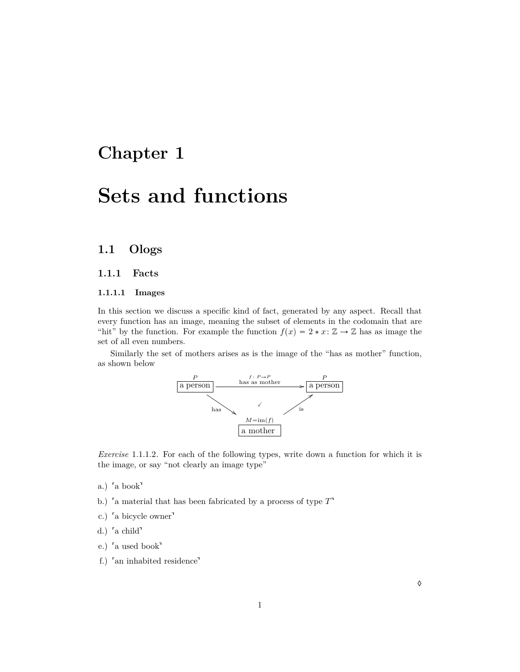## **Chapter 1**

# **Sets and functions**

## **1.1 Ologs**

#### **1.1.1 Facts**

#### **1.1.1.1 Images**

In this section we discuss a specific kind of fact, generated by any aspect. Recall that every function has an image, meaning the subset of elements in the codomain that are "hit" by the function. For example the function  $f(x) = 2 * x : \mathbb{Z} \to \mathbb{Z}$  has as image the set of all even numbers.

Similarly the set of mothers arises as is the image of the "has as mother" function, as shown below



*Exercise* 1.1.1.2*.* For each of the following types, write down a function for which it is the image, or say "not clearly an image type"

- a.) a book
- a.) <sup>r</sup>a book<sup>1</sup> b.) fa material that has been fabricated by a process of type  $T$ <sup>1</sup> b.) <sup>r</sup>a material that l<br>c.) <sup>r</sup>a bicycle owner<sup>1</sup>
- c.) <sup>'</sup>a bicycle owner<sup>1</sup><br>d.) <sup>'</sup>a child<sup>1</sup>
- 
- e.) a used book
- f.) an inhabited residence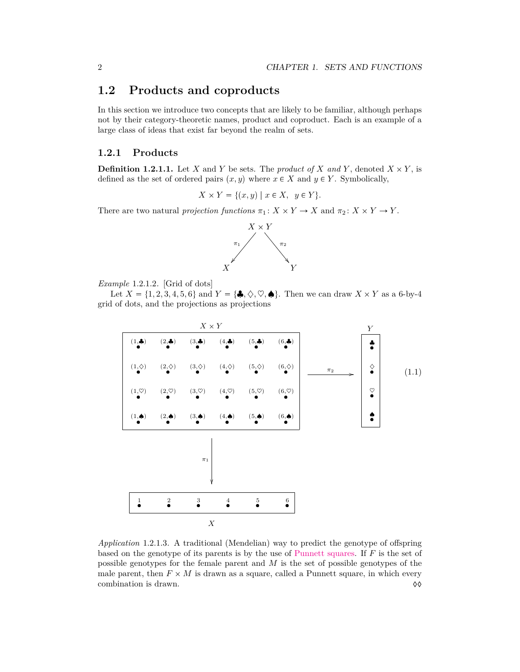### **1.2 Products and coproducts**

In this section we introduce two concepts that are likely to be familiar, although perhaps not by their category-theoretic names, product and coproduct. Each is an example of a large class of ideas that exist far beyond the realm of sets.

#### **1.2.1 Products**

**Definition 1.2.1.1.** Let *X* and *Y* be sets. The *product of X* and *Y*, denoted  $X \times Y$ , is defined as the set of ordered pairs  $(x, y)$  where  $x \in X$  and  $y \in Y$ . Symbolically,

 $X \times Y = \{(x, y) | x \in X, y \in Y\}.$ 

There are two natural *projection functions*  $\pi_1: X \times Y \to X$  and  $\pi_2: X \times Y \to Y$ .



*Example* 1.2.1.2*.* [Grid of dots]

Let  $X = \{1, 2, 3, 4, 5, 6\}$  and  $Y = \{\clubsuit, \diamondsuit, \heartsuit, \spadesuit\}$ . Then we can draw  $X \times Y$  as a 6-by-4 grid of dots, and the projections as projections



*Application* 1.2.1.3*.* A traditional (Mendelian) way to predict the genotype of offspring based on the genotype of its parents is by the use of [Punnett squares.](http://en.wikipedia.org/wiki/Punnett_square) If *F* is the set of possible genotypes for the female parent and *M* is the set of possible genotypes of the male parent, then  $F \times M$  is drawn as a square, called a Punnett square, in which every combination is drawn.  $\Diamond \Diamond$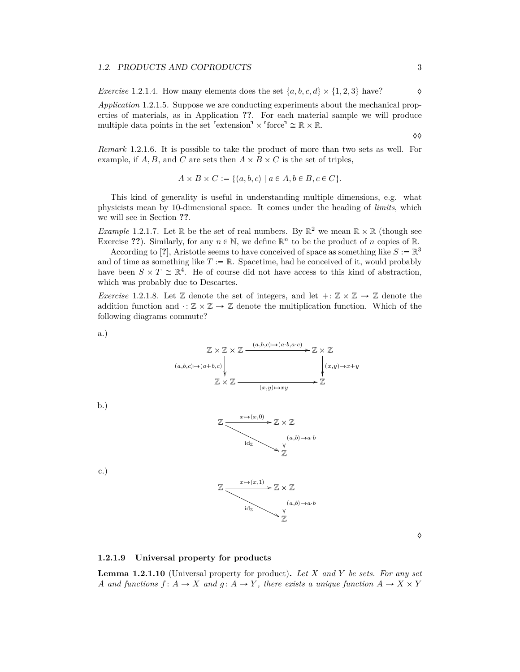#### 1.2. PRODUCTS AND COPRODUCTS 3

*Exercise* 1.2.1.4*.* How many elements does the set  $\{a, b, c, d\} \times \{1, 2, 3\}$  have?

*Application* 1.2.1.5*.* Suppose we are conducting experiments about the mechanical properties of materials, as in Application **??**. For each material sample we will produce Application 1.2.1.5. Suppose we are conducting experimenties of materials, as in Application ??. For each material multiple data points in the set  $\ell$  extension<sup>1</sup>  $\times$  force<sup>1</sup>  $\cong \mathbb{R} \times$ multiple data points in the set 'extension'  $\times$  'force'  $\cong \mathbb{R} \times \mathbb{R}$ .

 $\Diamond \Diamond$ 

*Remark* 1.2.1.6*.* It is possible to take the product of more than two sets as well. For example, if  $A, B$ , and  $C$  are sets then  $A \times B \times C$  is the set of triples,

 $A \times B \times C := \{ (a, b, c) | a \in A, b \in B, c \in C \}.$ 

This kind of generality is useful in understanding multiple dimensions, e.g. what physicists mean by 10-dimensional space. It comes under the heading of *limits*, which we will see in Section **??**.

*Example* 1.2.1.7. Let  $\mathbb{R}$  be the set of real numbers. By  $\mathbb{R}^2$  we mean  $\mathbb{R} \times \mathbb{R}$  (though see Exercise ??). Similarly, for any  $n \in \mathbb{N}$ , we define  $\mathbb{R}^n$  to be the product of *n* copies of  $\mathbb{R}$ .

According to [?], Aristotle seems to have conceived of space as something like  $S := \mathbb{R}^3$ and of time as something like  $T := \mathbb{R}$ . Spacetime, had he conceived of it, would probably have been  $S \times T \cong \mathbb{R}^4$ . He of course did not have access to this kind of abstraction, which was probably due to Descartes.

*Exercise* 1.2.1.8. Let  $\mathbb{Z}$  denote the set of integers, and let  $\pm : \mathbb{Z} \times \mathbb{Z} \to \mathbb{Z}$  denote the addition function and  $: \mathbb{Z} \times \mathbb{Z} \to \mathbb{Z}$  denote the multiplication function. Which of the following diagrams commute?

a.)



 $\mathrm{id}_{\mathbb{Z}}$ 

c.)

b.)



. ط

 $\mathbb{Z}\times \mathbb{Z}$ 

ļ Z

 $(a,b) \rightarrow a$ *b* 

♦

#### **1.2.1.9 Universal property for products**

**Lemma 1.2.1.10** (Universal property for product)**.** *Let X and Y be sets. For any set A* and functions  $f: A \to X$  and  $g: A \to Y$ , there exists a unique function  $A \to X \times Y$